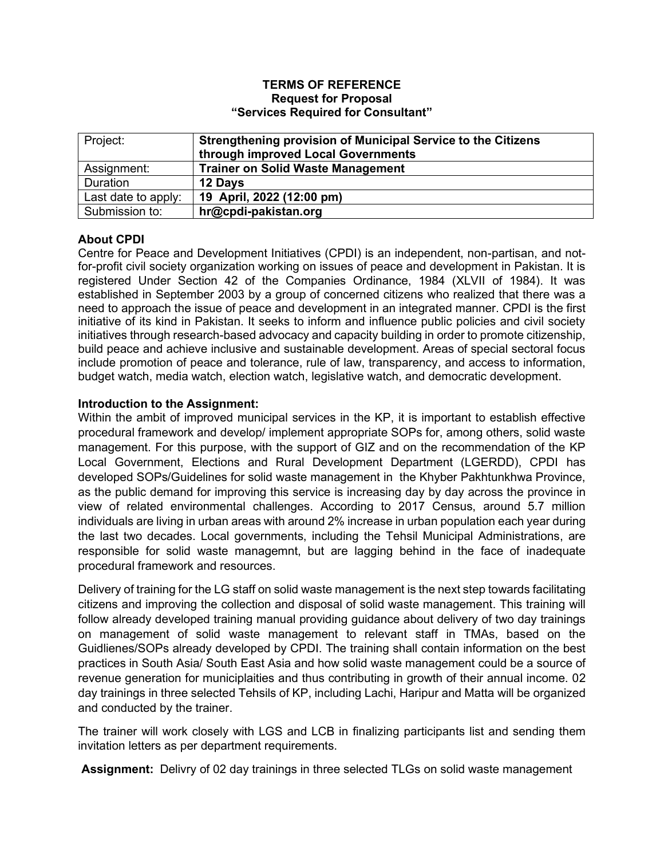#### **TERMS OF REFERENCE Request for Proposal "Services Required for Consultant"**

| Project:            | Strengthening provision of Municipal Service to the Citizens<br>through improved Local Governments |
|---------------------|----------------------------------------------------------------------------------------------------|
| Assignment:         | <b>Trainer on Solid Waste Management</b>                                                           |
| Duration            | 12 Days                                                                                            |
| Last date to apply: | 19 April, 2022 (12:00 pm)                                                                          |
| Submission to:      | hr@cpdi-pakistan.org                                                                               |

# **About CPDI**

Centre for Peace and Development Initiatives (CPDI) is an independent, non-partisan, and notfor-profit civil society organization working on issues of peace and development in Pakistan. It is registered Under Section 42 of the Companies Ordinance, 1984 (XLVII of 1984). It was established in September 2003 by a group of concerned citizens who realized that there was a need to approach the issue of peace and development in an integrated manner. CPDI is the first initiative of its kind in Pakistan. It seeks to inform and influence public policies and civil society initiatives through research-based advocacy and capacity building in order to promote citizenship, build peace and achieve inclusive and sustainable development. Areas of special sectoral focus include promotion of peace and tolerance, rule of law, transparency, and access to information, budget watch, media watch, election watch, legislative watch, and democratic development.

## **Introduction to the Assignment:**

Within the ambit of improved municipal services in the KP, it is important to establish effective procedural framework and develop/ implement appropriate SOPs for, among others, solid waste management. For this purpose, with the support of GIZ and on the recommendation of the KP Local Government, Elections and Rural Development Department (LGERDD), CPDI has developed SOPs/Guidelines for solid waste management in the Khyber Pakhtunkhwa Province, as the public demand for improving this service is increasing day by day across the province in view of related environmental challenges. According to 2017 Census, around 5.7 million individuals are living in urban areas with around 2% increase in urban population each year during the last two decades. Local governments, including the Tehsil Municipal Administrations, are responsible for solid waste managemnt, but are lagging behind in the face of inadequate procedural framework and resources.

Delivery of training for the LG staff on solid waste management is the next step towards facilitating citizens and improving the collection and disposal of solid waste management. This training will follow already developed training manual providing guidance about delivery of two day trainings on management of solid waste management to relevant staff in TMAs, based on the Guidlienes/SOPs already developed by CPDI. The training shall contain information on the best practices in South Asia/ South East Asia and how solid waste management could be a source of revenue generation for municiplaities and thus contributing in growth of their annual income. 02 day trainings in three selected Tehsils of KP, including Lachi, Haripur and Matta will be organized and conducted by the trainer.

The trainer will work closely with LGS and LCB in finalizing participants list and sending them invitation letters as per department requirements.

**Assignment:** Delivry of 02 day trainings in three selected TLGs on solid waste management